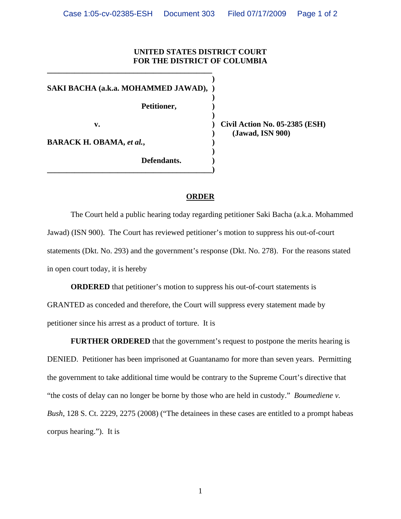## **UNITED STATES DISTRICT COURT FOR THE DISTRICT OF COLUMBIA**

**) SAKI BACHA (a.k.a. MOHAMMED JAWAD), ) ) Petitioner, ) ) v. ) Civil Action No. 05-2385 (ESH) BARACK H. OBAMA,** *et al.*,  $\qquad \qquad$  **) )** 

**\_\_\_\_\_\_\_\_\_\_\_\_\_\_\_\_\_\_\_\_\_\_\_\_\_\_\_\_\_\_\_\_\_\_\_\_\_\_\_\_\_\_)**

**\_\_\_\_\_\_\_\_\_\_\_\_\_\_\_\_\_\_\_\_\_\_\_\_\_\_\_\_\_\_\_\_\_\_\_\_\_\_\_\_\_\_** 

**) (Jawad, ISN 900)** 

**Defendants. )** 

## **ORDER**

 The Court held a public hearing today regarding petitioner Saki Bacha (a.k.a. Mohammed Jawad) (ISN 900). The Court has reviewed petitioner's motion to suppress his out-of-court statements (Dkt. No. 293) and the government's response (Dkt. No. 278). For the reasons stated in open court today, it is hereby

**ORDERED** that petitioner's motion to suppress his out-of-court statements is GRANTED as conceded and therefore, the Court will suppress every statement made by petitioner since his arrest as a product of torture. It is

**FURTHER ORDERED** that the government's request to postpone the merits hearing is DENIED. Petitioner has been imprisoned at Guantanamo for more than seven years. Permitting the government to take additional time would be contrary to the Supreme Court's directive that "the costs of delay can no longer be borne by those who are held in custody." *Boumediene v. Bush*, 128 S. Ct. 2229, 2275 (2008) ("The detainees in these cases are entitled to a prompt habeas corpus hearing."). It is